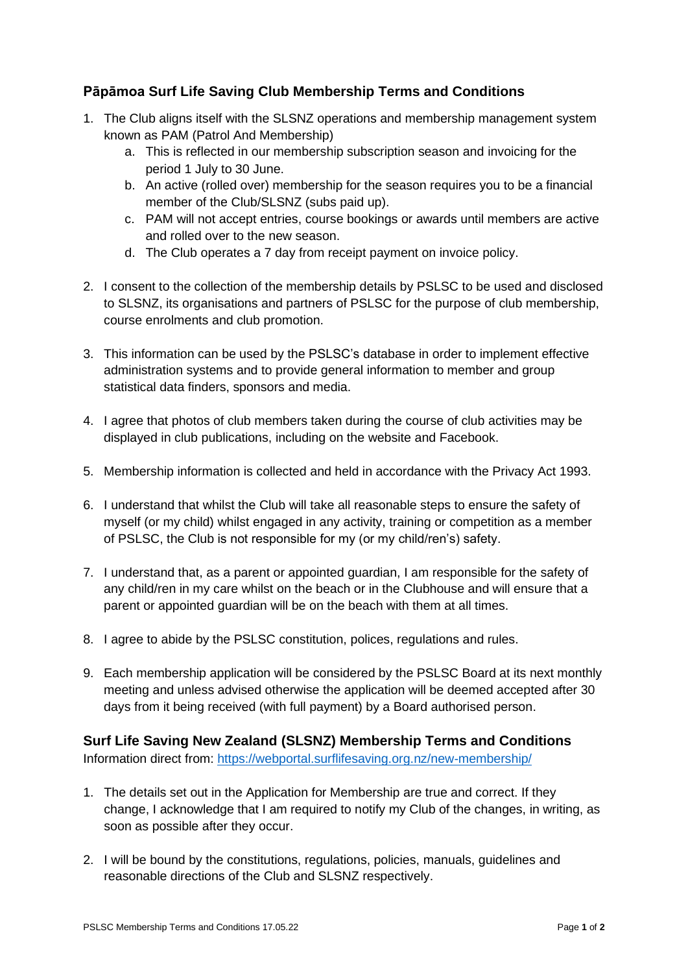## **Pāpāmoa Surf Life Saving Club Membership Terms and Conditions**

- 1. The Club aligns itself with the SLSNZ operations and membership management system known as PAM (Patrol And Membership)
	- a. This is reflected in our membership subscription season and invoicing for the period 1 July to 30 June.
	- b. An active (rolled over) membership for the season requires you to be a financial member of the Club/SLSNZ (subs paid up).
	- c. PAM will not accept entries, course bookings or awards until members are active and rolled over to the new season.
	- d. The Club operates a 7 day from receipt payment on invoice policy.
- 2. I consent to the collection of the membership details by PSLSC to be used and disclosed to SLSNZ, its organisations and partners of PSLSC for the purpose of club membership, course enrolments and club promotion.
- 3. This information can be used by the PSLSC's database in order to implement effective administration systems and to provide general information to member and group statistical data finders, sponsors and media.
- 4. I agree that photos of club members taken during the course of club activities may be displayed in club publications, including on the website and Facebook.
- 5. Membership information is collected and held in accordance with the Privacy Act 1993.
- 6. I understand that whilst the Club will take all reasonable steps to ensure the safety of myself (or my child) whilst engaged in any activity, training or competition as a member of PSLSC, the Club is not responsible for my (or my child/ren's) safety.
- 7. I understand that, as a parent or appointed guardian, I am responsible for the safety of any child/ren in my care whilst on the beach or in the Clubhouse and will ensure that a parent or appointed guardian will be on the beach with them at all times.
- 8. I agree to abide by the PSLSC constitution, polices, regulations and rules.
- 9. Each membership application will be considered by the PSLSC Board at its next monthly meeting and unless advised otherwise the application will be deemed accepted after 30 days from it being received (with full payment) by a Board authorised person.

## **Surf Life Saving New Zealand (SLSNZ) Membership Terms and Conditions** Information direct from:<https://webportal.surflifesaving.org.nz/new-membership/>

- 1. The details set out in the Application for Membership are true and correct. If they change, I acknowledge that I am required to notify my Club of the changes, in writing, as soon as possible after they occur.
- 2. I will be bound by the constitutions, regulations, policies, manuals, guidelines and reasonable directions of the Club and SLSNZ respectively.